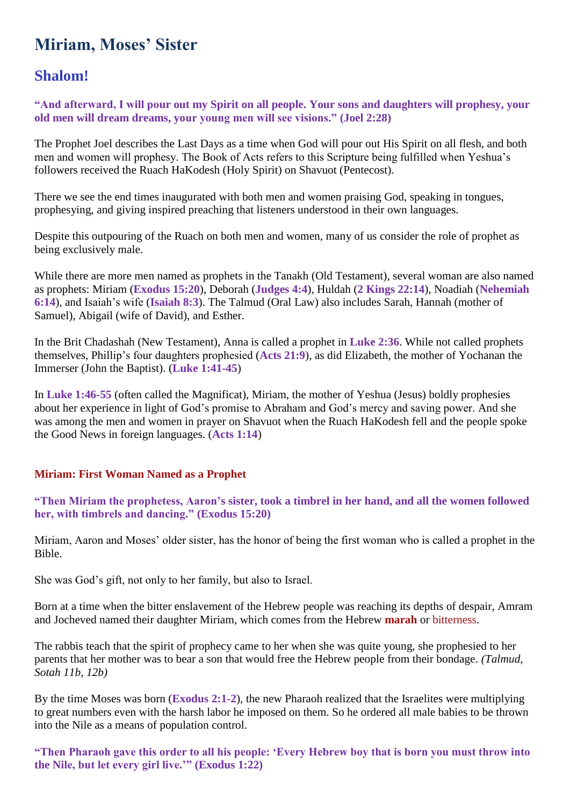# **Miriam, Moses' Sister**

# **Shalom!**

**"And afterward, I will pour out my Spirit on all people. Your sons and daughters will prophesy, your old men will dream dreams, your young men will see visions." (Joel 2:28)**

The Prophet Joel describes the Last Days as a time when God will pour out His Spirit on all flesh, and both men and women will prophesy. The Book of Acts refers to this Scripture being fulfilled when Yeshua's followers received the Ruach HaKodesh (Holy Spirit) on Shavuot (Pentecost).

There we see the end times inaugurated with both men and women praising God, speaking in tongues, prophesying, and giving inspired preaching that listeners understood in their own languages.

Despite this outpouring of the Ruach on both men and women, many of us consider the role of prophet as being exclusively male.

While there are more men named as prophets in the Tanakh (Old Testament), several woman are also named as prophets: Miriam (**Exodus 15:20**), Deborah (**Judges 4:4**), Huldah (**2 Kings 22:14**), Noadiah (**Nehemiah 6:14**), and Isaiah's wife (**Isaiah 8:3**). The Talmud (Oral Law) also includes Sarah, Hannah (mother of Samuel), Abigail (wife of David), and Esther.

In the Brit Chadashah (New Testament), Anna is called a prophet in **Luke 2:36**. While not called prophets themselves, Phillip's four daughters prophesied (**Acts 21:9**), as did Elizabeth, the mother of Yochanan the Immerser (John the Baptist). (**Luke 1:41-45**)

In **Luke 1:46-55** (often called the Magnificat), Miriam, the mother of Yeshua (Jesus) boldly prophesies about her experience in light of God's promise to Abraham and God's mercy and saving power. And she was among the men and women in prayer on Shavuot when the Ruach HaKodesh fell and the people spoke the Good News in foreign languages. (**Acts 1:14**)

## **Miriam: First Woman Named as a Prophet**

**"Then Miriam the prophetess, Aaron's sister, took a timbrel in her hand, and all the women followed her, with timbrels and dancing." (Exodus 15:20)**

Miriam, Aaron and Moses' older sister, has the honor of being the first woman who is called a prophet in the Bible.

She was God's gift, not only to her family, but also to Israel.

Born at a time when the bitter enslavement of the Hebrew people was reaching its depths of despair, Amram and Jocheved named their daughter Miriam, which comes from the Hebrew **marah** or bitterness.

The rabbis teach that the spirit of prophecy came to her when she was quite young, she prophesied to her parents that her mother was to bear a son that would free the Hebrew people from their bondage. *(Talmud, Sotah 11b, 12b)*

By the time Moses was born (**Exodus 2:1-2**), the new Pharaoh realized that the Israelites were multiplying to great numbers even with the harsh labor he imposed on them. So he ordered all male babies to be thrown into the Nile as a means of population control.

**"Then Pharaoh gave this order to all his people: 'Every Hebrew boy that is born you must throw into the Nile, but let every girl live.'" (Exodus 1:22)**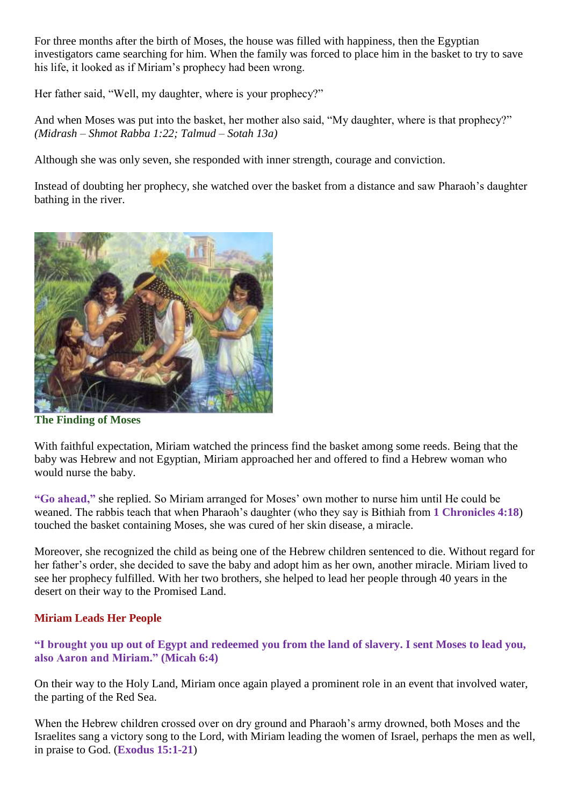For three months after the birth of Moses, the house was filled with happiness, then the Egyptian investigators came searching for him. When the family was forced to place him in the basket to try to save his life, it looked as if Miriam's prophecy had been wrong.

Her father said, "Well, my daughter, where is your prophecy?"

And when Moses was put into the basket, her mother also said, "My daughter, where is that prophecy?" *(Midrash – Shmot Rabba 1:22; Talmud – Sotah 13a)*

Although she was only seven, she responded with inner strength, courage and conviction.

Instead of doubting her prophecy, she watched over the basket from a distance and saw Pharaoh's daughter bathing in the river.



**The Finding of Moses**

With faithful expectation, Miriam watched the princess find the basket among some reeds. Being that the baby was Hebrew and not Egyptian, Miriam approached her and offered to find a Hebrew woman who would nurse the baby.

**"Go ahead,"** she replied. So Miriam arranged for Moses' own mother to nurse him until He could be weaned. The rabbis teach that when Pharaoh's daughter (who they say is Bithiah from **1 Chronicles 4:18**) touched the basket containing Moses, she was cured of her skin disease, a miracle.

Moreover, she recognized the child as being one of the Hebrew children sentenced to die. Without regard for her father's order, she decided to save the baby and adopt him as her own, another miracle. Miriam lived to see her prophecy fulfilled. With her two brothers, she helped to lead her people through 40 years in the desert on their way to the Promised Land.

### **Miriam Leads Her People**

### **"I brought you up out of Egypt and redeemed you from the land of slavery. I sent Moses to lead you, also Aaron and Miriam." (Micah 6:4)**

On their way to the Holy Land, Miriam once again played a prominent role in an event that involved water, the parting of the Red Sea.

When the Hebrew children crossed over on dry ground and Pharaoh's army drowned, both Moses and the Israelites sang a victory song to the Lord, with Miriam leading the women of Israel, perhaps the men as well, in praise to God. (**Exodus 15:1-21**)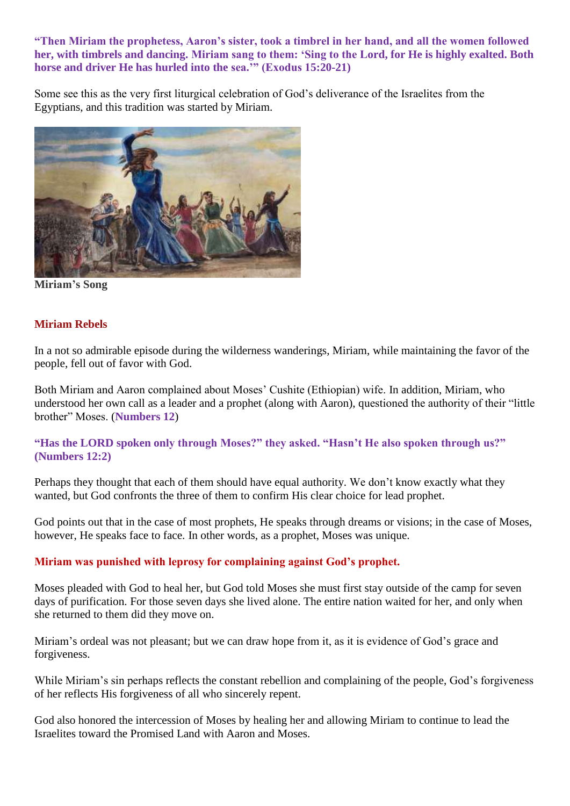### **"Then Miriam the prophetess, Aaron's sister, took a timbrel in her hand, and all the women followed her, with timbrels and dancing. Miriam sang to them: 'Sing to the Lord, for He is highly exalted. Both horse and driver He has hurled into the sea.'" (Exodus 15:20-21)**

Some see this as the very first liturgical celebration of God's deliverance of the Israelites from the Egyptians, and this tradition was started by Miriam.



**Miriam's Song**

### **Miriam Rebels**

In a not so admirable episode during the wilderness wanderings, Miriam, while maintaining the favor of the people, fell out of favor with God.

Both Miriam and Aaron complained about Moses' Cushite (Ethiopian) wife. In addition, Miriam, who understood her own call as a leader and a prophet (along with Aaron), questioned the authority of their "little brother" Moses. (**Numbers 12**)

### **"Has the LORD spoken only through Moses?" they asked. "Hasn't He also spoken through us?" (Numbers 12:2)**

Perhaps they thought that each of them should have equal authority. We don't know exactly what they wanted, but God confronts the three of them to confirm His clear choice for lead prophet.

God points out that in the case of most prophets, He speaks through dreams or visions; in the case of Moses, however, He speaks face to face. In other words, as a prophet, Moses was unique.

### **Miriam was punished with leprosy for complaining against God's prophet.**

Moses pleaded with God to heal her, but God told Moses she must first stay outside of the camp for seven days of purification. For those seven days she lived alone. The entire nation waited for her, and only when she returned to them did they move on.

Miriam's ordeal was not pleasant; but we can draw hope from it, as it is evidence of God's grace and forgiveness.

While Miriam's sin perhaps reflects the constant rebellion and complaining of the people, God's forgiveness of her reflects His forgiveness of all who sincerely repent.

God also honored the intercession of Moses by healing her and allowing Miriam to continue to lead the Israelites toward the Promised Land with Aaron and Moses.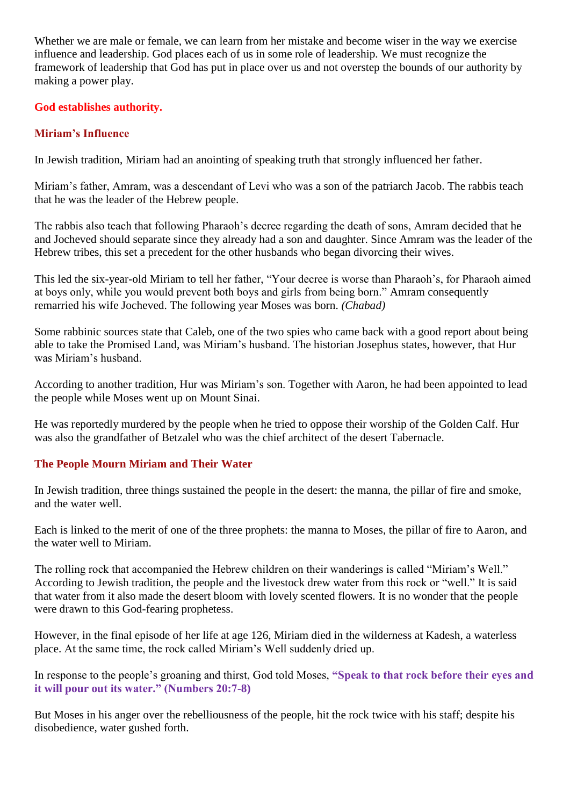Whether we are male or female, we can learn from her mistake and become wiser in the way we exercise influence and leadership. God places each of us in some role of leadership. We must recognize the framework of leadership that God has put in place over us and not overstep the bounds of our authority by making a power play.

### **God establishes authority.**

### **Miriam's Influence**

In Jewish tradition, Miriam had an anointing of speaking truth that strongly influenced her father.

Miriam's father, Amram, was a descendant of Levi who was a son of the patriarch Jacob. The rabbis teach that he was the leader of the Hebrew people.

The rabbis also teach that following Pharaoh's decree regarding the death of sons, Amram decided that he and Jocheved should separate since they already had a son and daughter. Since Amram was the leader of the Hebrew tribes, this set a precedent for the other husbands who began divorcing their wives.

This led the six-year-old Miriam to tell her father, "Your decree is worse than Pharaoh's, for Pharaoh aimed at boys only, while you would prevent both boys and girls from being born." Amram consequently remarried his wife Jocheved. The following year Moses was born. *(Chabad)*

Some rabbinic sources state that Caleb, one of the two spies who came back with a good report about being able to take the Promised Land, was Miriam's husband. The historian Josephus states, however, that Hur was Miriam's husband.

According to another tradition, Hur was Miriam's son. Together with Aaron, he had been appointed to lead the people while Moses went up on Mount Sinai.

He was reportedly murdered by the people when he tried to oppose their worship of the Golden Calf. Hur was also the grandfather of Betzalel who was the chief architect of the desert Tabernacle.

## **The People Mourn Miriam and Their Water**

In Jewish tradition, three things sustained the people in the desert: the manna, the pillar of fire and smoke, and the water well.

Each is linked to the merit of one of the three prophets: the manna to Moses, the pillar of fire to Aaron, and the water well to Miriam.

The rolling rock that accompanied the Hebrew children on their wanderings is called "Miriam's Well." According to Jewish tradition, the people and the livestock drew water from this rock or "well." It is said that water from it also made the desert bloom with lovely scented flowers. It is no wonder that the people were drawn to this God-fearing prophetess.

However, in the final episode of her life at age 126, Miriam died in the wilderness at Kadesh, a waterless place. At the same time, the rock called Miriam's Well suddenly dried up.

In response to the people's groaning and thirst, God told Moses, **"Speak to that rock before their eyes and it will pour out its water." (Numbers 20:7-8)**

But Moses in his anger over the rebelliousness of the people, hit the rock twice with his staff; despite his disobedience, water gushed forth.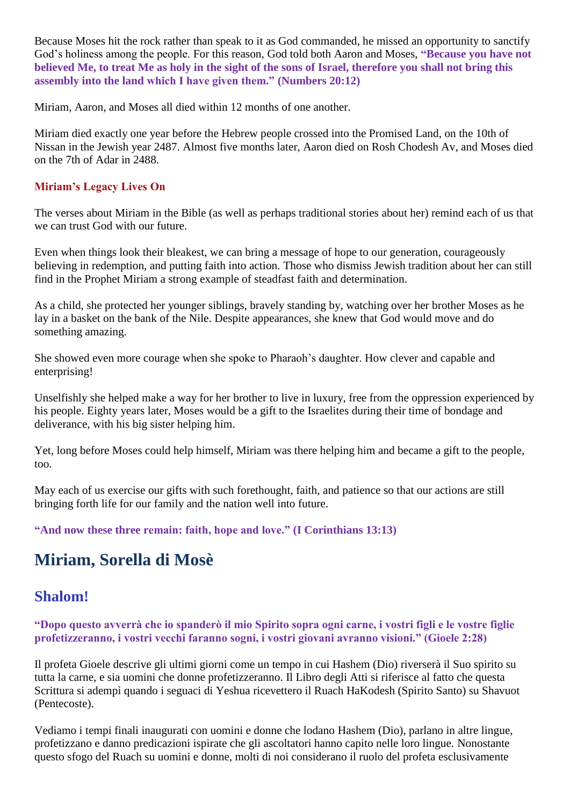Because Moses hit the rock rather than speak to it as God commanded, he missed an opportunity to sanctify God's holiness among the people. For this reason, God told both Aaron and Moses, **"Because you have not believed Me, to treat Me as holy in the sight of the sons of Israel, therefore you shall not bring this assembly into the land which I have given them." (Numbers 20:12)**

Miriam, Aaron, and Moses all died within 12 months of one another.

Miriam died exactly one year before the Hebrew people crossed into the Promised Land, on the 10th of Nissan in the Jewish year 2487. Almost five months later, Aaron died on Rosh Chodesh Av, and Moses died on the 7th of Adar in 2488.

### **Miriam's Legacy Lives On**

The verses about Miriam in the Bible (as well as perhaps traditional stories about her) remind each of us that we can trust God with our future.

Even when things look their bleakest, we can bring a message of hope to our generation, courageously believing in redemption, and putting faith into action. Those who dismiss Jewish tradition about her can still find in the Prophet Miriam a strong example of steadfast faith and determination.

As a child, she protected her younger siblings, bravely standing by, watching over her brother Moses as he lay in a basket on the bank of the Nile. Despite appearances, she knew that God would move and do something amazing.

She showed even more courage when she spoke to Pharaoh's daughter. How clever and capable and enterprising!

Unselfishly she helped make a way for her brother to live in luxury, free from the oppression experienced by his people. Eighty years later, Moses would be a gift to the Israelites during their time of bondage and deliverance, with his big sister helping him.

Yet, long before Moses could help himself, Miriam was there helping him and became a gift to the people, too.

May each of us exercise our gifts with such forethought, faith, and patience so that our actions are still bringing forth life for our family and the nation well into future.

**"And now these three remain: faith, hope and love." (I Corinthians 13:13)**

# **Miriam, Sorella di Mosè**

# **Shalom!**

**"Dopo questo avverrà che io spanderò il mio Spirito sopra ogni carne, i vostri figli e le vostre figlie profetizzeranno, i vostri vecchi faranno sogni, i vostri giovani avranno visioni." (Gioele 2:28)**

Il profeta Gioele descrive gli ultimi giorni come un tempo in cui Hashem (Dio) riverserà il Suo spirito su tutta la carne, e sia uomini che donne profetizzeranno. Il Libro degli Atti si riferisce al fatto che questa Scrittura si adempì quando i seguaci di Yeshua ricevettero il Ruach HaKodesh (Spirito Santo) su Shavuot (Pentecoste).

Vediamo i tempi finali inaugurati con uomini e donne che lodano Hashem (Dio), parlano in altre lingue, profetizzano e danno predicazioni ispirate che gli ascoltatori hanno capito nelle loro lingue. Nonostante questo sfogo del Ruach su uomini e donne, molti di noi considerano il ruolo del profeta esclusivamente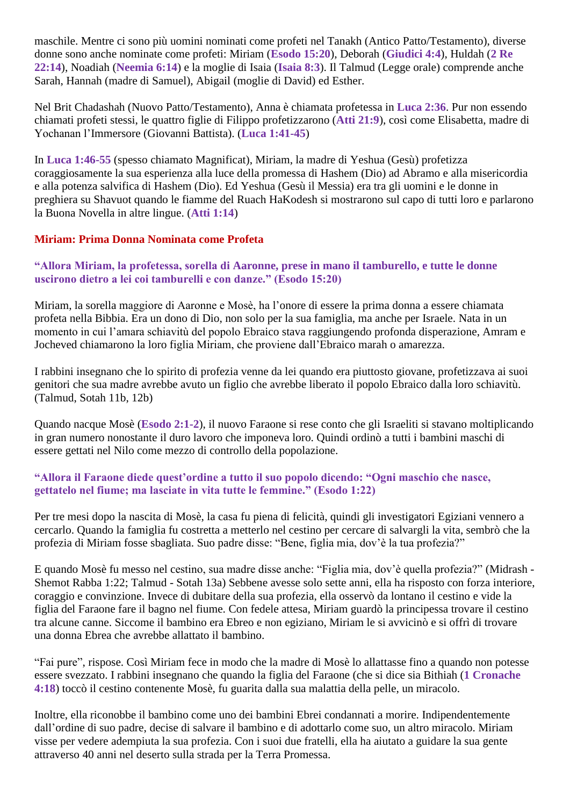maschile. Mentre ci sono più uomini nominati come profeti nel Tanakh (Antico Patto/Testamento), diverse donne sono anche nominate come profeti: Miriam (**Esodo 15:20**), Deborah (**Giudici 4:4**), Huldah (**2 Re 22:14**), Noadiah (**Neemia 6:14**) e la moglie di Isaia (**Isaia 8:3**). Il Talmud (Legge orale) comprende anche Sarah, Hannah (madre di Samuel), Abigail (moglie di David) ed Esther.

Nel Brit Chadashah (Nuovo Patto/Testamento), Anna è chiamata profetessa in **Luca 2:36**. Pur non essendo chiamati profeti stessi, le quattro figlie di Filippo profetizzarono (**Atti 21:9**), così come Elisabetta, madre di Yochanan l'Immersore (Giovanni Battista). (**Luca 1:41-45**)

In **Luca 1:46-55** (spesso chiamato Magnificat), Miriam, la madre di Yeshua (Gesù) profetizza coraggiosamente la sua esperienza alla luce della promessa di Hashem (Dio) ad Abramo e alla misericordia e alla potenza salvifica di Hashem (Dio). Ed Yeshua (Gesù il Messia) era tra gli uomini e le donne in preghiera su Shavuot quando le fiamme del Ruach HaKodesh si mostrarono sul capo di tutti loro e parlarono la Buona Novella in altre lingue. (**Atti 1:14**)

### **Miriam: Prima Donna Nominata come Profeta**

### **"Allora Miriam, la profetessa, sorella di Aaronne, prese in mano il tamburello, e tutte le donne uscirono dietro a lei coi tamburelli e con danze." (Esodo 15:20)**

Miriam, la sorella maggiore di Aaronne e Mosè, ha l'onore di essere la prima donna a essere chiamata profeta nella Bibbia. Era un dono di Dio, non solo per la sua famiglia, ma anche per Israele. Nata in un momento in cui l'amara schiavitù del popolo Ebraico stava raggiungendo profonda disperazione, Amram e Jocheved chiamarono la loro figlia Miriam, che proviene dall'Ebraico marah o amarezza.

I rabbini insegnano che lo spirito di profezia venne da lei quando era piuttosto giovane, profetizzava ai suoi genitori che sua madre avrebbe avuto un figlio che avrebbe liberato il popolo Ebraico dalla loro schiavitù. (Talmud, Sotah 11b, 12b)

Quando nacque Mosè (**Esodo 2:1-2**), il nuovo Faraone si rese conto che gli Israeliti si stavano moltiplicando in gran numero nonostante il duro lavoro che imponeva loro. Quindi ordinò a tutti i bambini maschi di essere gettati nel Nilo come mezzo di controllo della popolazione.

### **"Allora il Faraone diede quest'ordine a tutto il suo popolo dicendo: "Ogni maschio che nasce, gettatelo nel fiume; ma lasciate in vita tutte le femmine." (Esodo 1:22)**

Per tre mesi dopo la nascita di Mosè, la casa fu piena di felicità, quindi gli investigatori Egiziani vennero a cercarlo. Quando la famiglia fu costretta a metterlo nel cestino per cercare di salvargli la vita, sembrò che la profezia di Miriam fosse sbagliata. Suo padre disse: "Bene, figlia mia, dov'è la tua profezia?"

E quando Mosè fu messo nel cestino, sua madre disse anche: "Figlia mia, dov'è quella profezia?" (Midrash - Shemot Rabba 1:22; Talmud - Sotah 13a) Sebbene avesse solo sette anni, ella ha risposto con forza interiore, coraggio e convinzione. Invece di dubitare della sua profezia, ella osservò da lontano il cestino e vide la figlia del Faraone fare il bagno nel fiume. Con fedele attesa, Miriam guardò la principessa trovare il cestino tra alcune canne. Siccome il bambino era Ebreo e non egiziano, Miriam le si avvicinò e si offrì di trovare una donna Ebrea che avrebbe allattato il bambino.

"Fai pure", rispose. Così Miriam fece in modo che la madre di Mosè lo allattasse fino a quando non potesse essere svezzato. I rabbini insegnano che quando la figlia del Faraone (che si dice sia Bithiah (**1 Cronache 4:18**) toccò il cestino contenente Mosè, fu guarita dalla sua malattia della pelle, un miracolo.

Inoltre, ella riconobbe il bambino come uno dei bambini Ebrei condannati a morire. Indipendentemente dall'ordine di suo padre, decise di salvare il bambino e di adottarlo come suo, un altro miracolo. Miriam visse per vedere adempiuta la sua profezia. Con i suoi due fratelli, ella ha aiutato a guidare la sua gente attraverso 40 anni nel deserto sulla strada per la Terra Promessa.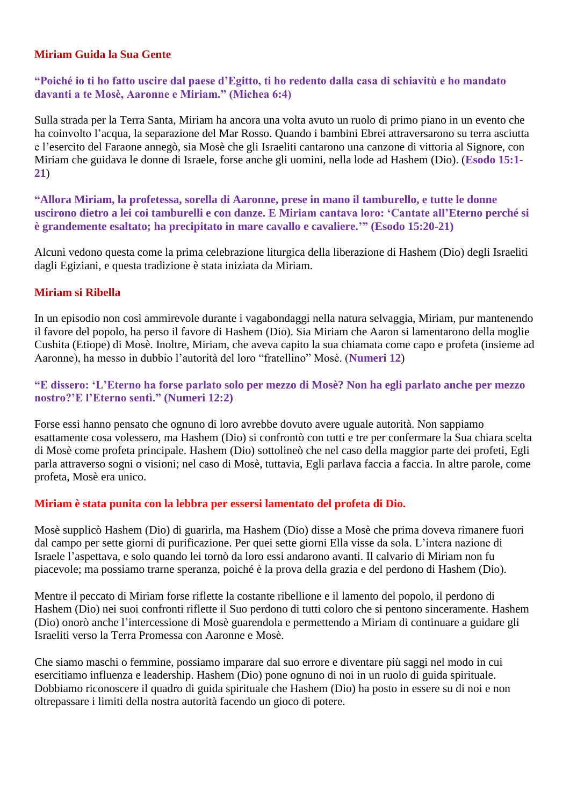### **Miriam Guida la Sua Gente**

### **"Poiché io ti ho fatto uscire dal paese d'Egitto, ti ho redento dalla casa di schiavitù e ho mandato davanti a te Mosè, Aaronne e Miriam." (Michea 6:4)**

Sulla strada per la Terra Santa, Miriam ha ancora una volta avuto un ruolo di primo piano in un evento che ha coinvolto l'acqua, la separazione del Mar Rosso. Quando i bambini Ebrei attraversarono su terra asciutta e l'esercito del Faraone annegò, sia Mosè che gli Israeliti cantarono una canzone di vittoria al Signore, con Miriam che guidava le donne di Israele, forse anche gli uomini, nella lode ad Hashem (Dio). (**Esodo 15:1- 21**)

**"Allora Miriam, la profetessa, sorella di Aaronne, prese in mano il tamburello, e tutte le donne uscirono dietro a lei coi tamburelli e con danze. E Miriam cantava loro: 'Cantate all'Eterno perché si è grandemente esaltato; ha precipitato in mare cavallo e cavaliere.'" (Esodo 15:20-21)**

Alcuni vedono questa come la prima celebrazione liturgica della liberazione di Hashem (Dio) degli Israeliti dagli Egiziani, e questa tradizione è stata iniziata da Miriam.

### **Miriam si Ribella**

In un episodio non così ammirevole durante i vagabondaggi nella natura selvaggia, Miriam, pur mantenendo il favore del popolo, ha perso il favore di Hashem (Dio). Sia Miriam che Aaron si lamentarono della moglie Cushita (Etiope) di Mosè. Inoltre, Miriam, che aveva capito la sua chiamata come capo e profeta (insieme ad Aaronne), ha messo in dubbio l'autorità del loro "fratellino" Mosè. (**Numeri 12**)

### **"E dissero: 'L'Eterno ha forse parlato solo per mezzo di Mosè? Non ha egli parlato anche per mezzo nostro?'E l'Eterno sentì." (Numeri 12:2)**

Forse essi hanno pensato che ognuno di loro avrebbe dovuto avere uguale autorità. Non sappiamo esattamente cosa volessero, ma Hashem (Dio) si confrontò con tutti e tre per confermare la Sua chiara scelta di Mosè come profeta principale. Hashem (Dio) sottolineò che nel caso della maggior parte dei profeti, Egli parla attraverso sogni o visioni; nel caso di Mosè, tuttavia, Egli parlava faccia a faccia. In altre parole, come profeta, Mosè era unico.

#### **Miriam è stata punita con la lebbra per essersi lamentato del profeta di Dio.**

Mosè supplicò Hashem (Dio) di guarirla, ma Hashem (Dio) disse a Mosè che prima doveva rimanere fuori dal campo per sette giorni di purificazione. Per quei sette giorni Ella visse da sola. L'intera nazione di Israele l'aspettava, e solo quando lei tornò da loro essi andarono avanti. Il calvario di Miriam non fu piacevole; ma possiamo trarne speranza, poiché è la prova della grazia e del perdono di Hashem (Dio).

Mentre il peccato di Miriam forse riflette la costante ribellione e il lamento del popolo, il perdono di Hashem (Dio) nei suoi confronti riflette il Suo perdono di tutti coloro che si pentono sinceramente. Hashem (Dio) onorò anche l'intercessione di Mosè guarendola e permettendo a Miriam di continuare a guidare gli Israeliti verso la Terra Promessa con Aaronne e Mosè.

Che siamo maschi o femmine, possiamo imparare dal suo errore e diventare più saggi nel modo in cui esercitiamo influenza e leadership. Hashem (Dio) pone ognuno di noi in un ruolo di guida spirituale. Dobbiamo riconoscere il quadro di guida spirituale che Hashem (Dio) ha posto in essere su di noi e non oltrepassare i limiti della nostra autorità facendo un gioco di potere.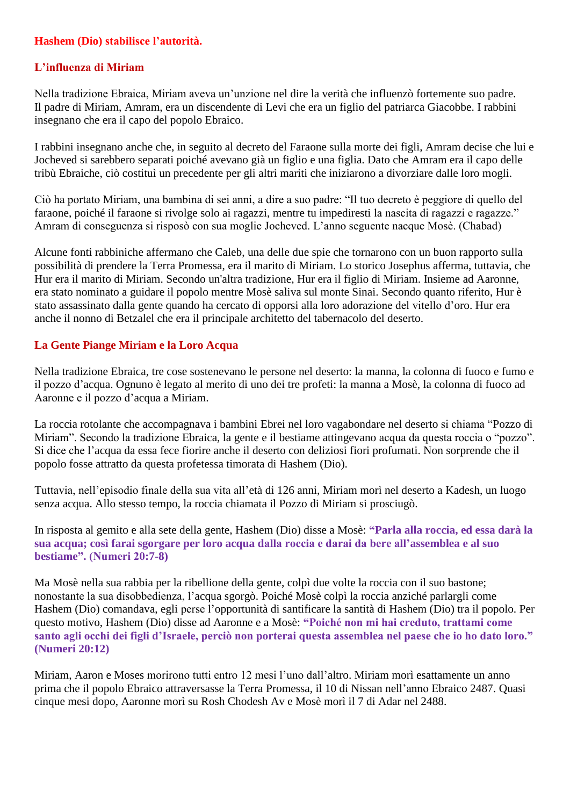### **Hashem (Dio) stabilisce l'autorità.**

### **L'influenza di Miriam**

Nella tradizione Ebraica, Miriam aveva un'unzione nel dire la verità che influenzò fortemente suo padre. Il padre di Miriam, Amram, era un discendente di Levi che era un figlio del patriarca Giacobbe. I rabbini insegnano che era il capo del popolo Ebraico.

I rabbini insegnano anche che, in seguito al decreto del Faraone sulla morte dei figli, Amram decise che lui e Jocheved si sarebbero separati poiché avevano già un figlio e una figlia. Dato che Amram era il capo delle tribù Ebraiche, ciò costituì un precedente per gli altri mariti che iniziarono a divorziare dalle loro mogli.

Ciò ha portato Miriam, una bambina di sei anni, a dire a suo padre: "Il tuo decreto è peggiore di quello del faraone, poiché il faraone si rivolge solo ai ragazzi, mentre tu impediresti la nascita di ragazzi e ragazze." Amram di conseguenza si risposò con sua moglie Jocheved. L'anno seguente nacque Mosè. (Chabad)

Alcune fonti rabbiniche affermano che Caleb, una delle due spie che tornarono con un buon rapporto sulla possibilità di prendere la Terra Promessa, era il marito di Miriam. Lo storico Josephus afferma, tuttavia, che Hur era il marito di Miriam. Secondo un'altra tradizione, Hur era il figlio di Miriam. Insieme ad Aaronne, era stato nominato a guidare il popolo mentre Mosè saliva sul monte Sinai. Secondo quanto riferito, Hur è stato assassinato dalla gente quando ha cercato di opporsi alla loro adorazione del vitello d'oro. Hur era anche il nonno di Betzalel che era il principale architetto del tabernacolo del deserto.

### **La Gente Piange Miriam e la Loro Acqua**

Nella tradizione Ebraica, tre cose sostenevano le persone nel deserto: la manna, la colonna di fuoco e fumo e il pozzo d'acqua. Ognuno è legato al merito di uno dei tre profeti: la manna a Mosè, la colonna di fuoco ad Aaronne e il pozzo d'acqua a Miriam.

La roccia rotolante che accompagnava i bambini Ebrei nel loro vagabondare nel deserto si chiama "Pozzo di Miriam". Secondo la tradizione Ebraica, la gente e il bestiame attingevano acqua da questa roccia o "pozzo". Si dice che l'acqua da essa fece fiorire anche il deserto con deliziosi fiori profumati. Non sorprende che il popolo fosse attratto da questa profetessa timorata di Hashem (Dio).

Tuttavia, nell'episodio finale della sua vita all'età di 126 anni, Miriam morì nel deserto a Kadesh, un luogo senza acqua. Allo stesso tempo, la roccia chiamata il Pozzo di Miriam si prosciugò.

In risposta al gemito e alla sete della gente, Hashem (Dio) disse a Mosè: **"Parla alla roccia, ed essa darà la sua acqua; così farai sgorgare per loro acqua dalla roccia e darai da bere all'assemblea e al suo bestiame". (Numeri 20:7-8)**

Ma Mosè nella sua rabbia per la ribellione della gente, colpì due volte la roccia con il suo bastone; nonostante la sua disobbedienza, l'acqua sgorgò. Poiché Mosè colpì la roccia anziché parlargli come Hashem (Dio) comandava, egli perse l'opportunità di santificare la santità di Hashem (Dio) tra il popolo. Per questo motivo, Hashem (Dio) disse ad Aaronne e a Mosè: **"Poiché non mi hai creduto, trattami come santo agli occhi dei figli d'Israele, perciò non porterai questa assemblea nel paese che io ho dato loro." (Numeri 20:12)**

Miriam, Aaron e Moses morirono tutti entro 12 mesi l'uno dall'altro. Miriam morì esattamente un anno prima che il popolo Ebraico attraversasse la Terra Promessa, il 10 di Nissan nell'anno Ebraico 2487. Quasi cinque mesi dopo, Aaronne morì su Rosh Chodesh Av e Mosè morì il 7 di Adar nel 2488.